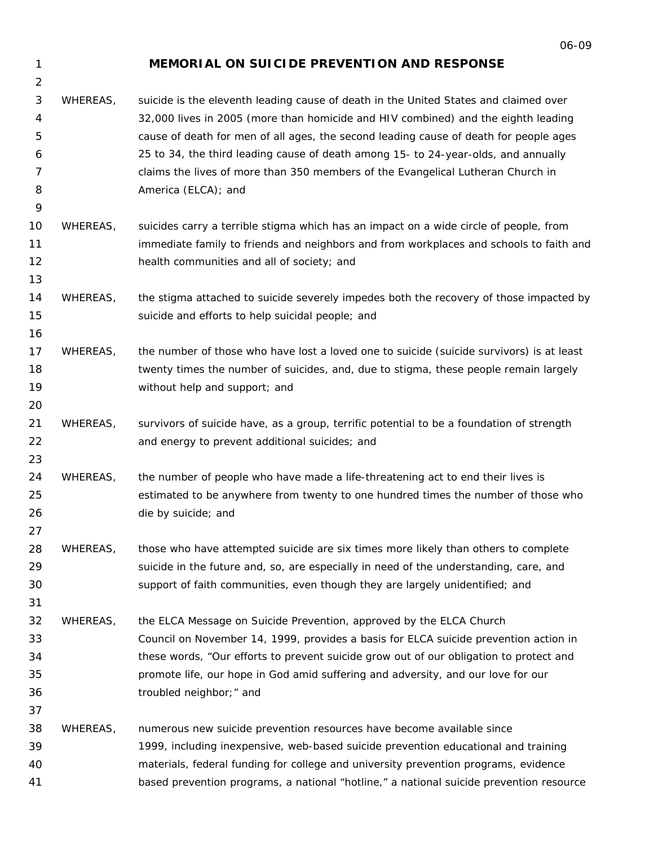1 2

9

13

16

20

23

27

31

## **MEMORIAL ON SUICIDE PREVENTION AND RESPONSE**

- 3 4 5 6 7 8 WHEREAS, suicide is the eleventh leading cause of death in the United States and claimed over 32,000 lives in 2005 (more than homicide and HIV combined) and the eighth leading cause of death for men of all ages, the second leading cause of death for people ages 25 to 34, the third leading cause of death among 15- to 24-year-olds, and annually claims the lives of *more than 350 members of the Evangelical Lutheran Church in America* (ELCA); and
- 10 11 12 WHEREAS, suicides carry a terrible stigma which has an impact on a wide circle of people, from immediate family to friends and neighbors and from workplaces and schools to faith and health communities and all of society; and
- 14 15 WHEREAS, the stigma attached to suicide severely impedes both the recovery of those impacted by suicide and efforts to help suicidal people; and
- 17 18 19 WHEREAS, the number of those who have lost a loved one to suicide (suicide survivors) is at least twenty times the number of suicides, and, due to stigma, these people remain largely without help and support; and
- 21 22 WHEREAS, survivors of suicide have, as a group, terrific potential to be a foundation of strength and energy to prevent additional suicides; and
- 24 25 26 WHEREAS, the number of people who have made a life-threatening act to end their lives is estimated to be anywhere from twenty to one hundred times the number of those who die by suicide; and
- 28 29 30 WHEREAS, those who have attempted suicide are six times more likely than others to complete suicide in the future and, so, are especially in need of the understanding, care, and support of faith communities, even though they are largely unidentified; and
- 32 33 34 35 36 WHEREAS, the ELCA *Message on Suicide Prevention,* approved by the ELCA Church Council on November 14, 1999, provides a basis for ELCA suicide prevention action in these words, "Our efforts to prevent suicide grow out of our obligation to protect and promote life, our hope in God amid suffering and adversity, and our love for our troubled neighbor;" and

37

38 39 40 41 WHEREAS, numerous new suicide prevention resources have become available since 1999, including inexpensive, web-based suicide prevention educational and training materials, federal funding for college and university prevention programs, evidence based prevention programs, a national "hotline," a national suicide prevention resource